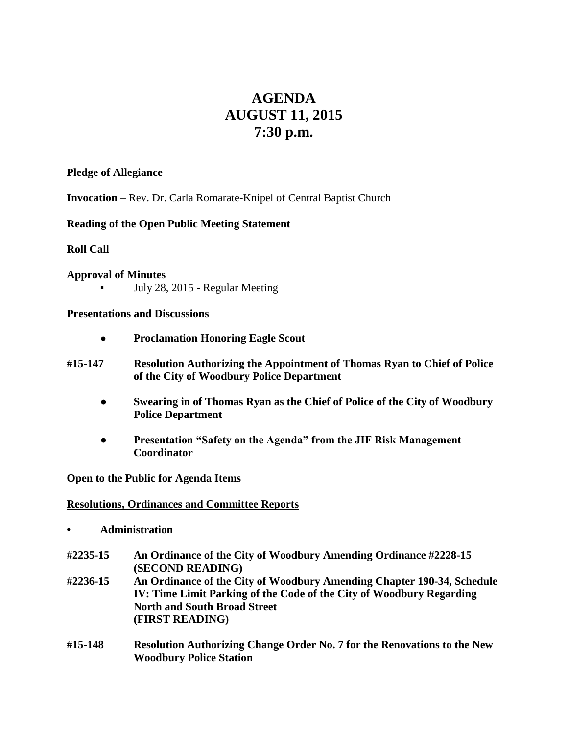# **AGENDA AUGUST 11, 2015 7:30 p.m.**

#### **Pledge of Allegiance**

**Invocation** – Rev. Dr. Carla Romarate-Knipel of Central Baptist Church

# **Reading of the Open Public Meeting Statement**

# **Roll Call**

**Approval of Minutes** July 28, 2015 - Regular Meeting

**Presentations and Discussions**

- **Proclamation Honoring Eagle Scout**
- **#15-147 Resolution Authorizing the Appointment of Thomas Ryan to Chief of Police of the City of Woodbury Police Department**
	- **● Swearing in of Thomas Ryan as the Chief of Police of the City of Woodbury Police Department**
	- **Presentation "Safety on the Agenda" from the JIF Risk Management Coordinator**

**Open to the Public for Agenda Items**

#### **Resolutions, Ordinances and Committee Reports**

- **• Administration**
- **#2235-15 An Ordinance of the City of Woodbury Amending Ordinance #2228-15 (SECOND READING)**
- **#2236-15 An Ordinance of the City of Woodbury Amending Chapter 190-34, Schedule IV: Time Limit Parking of the Code of the City of Woodbury Regarding North and South Broad Street (FIRST READING)**
- **#15-148 Resolution Authorizing Change Order No. 7 for the Renovations to the New Woodbury Police Station**